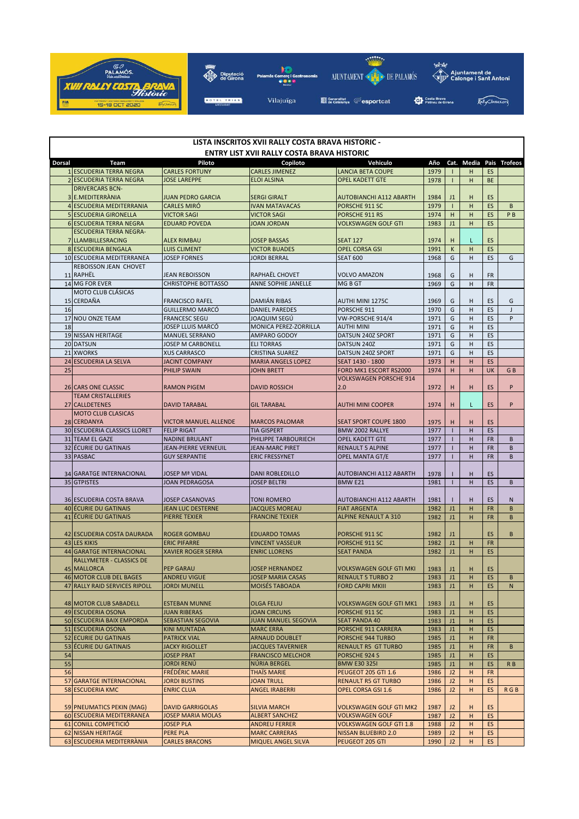

| LISTA INSCRITOS XVII RALLY COSTA BRAVA HISTORIC - |                                                    |                                                    |                                              |                                                              |              |                              |             |                        |                |  |  |
|---------------------------------------------------|----------------------------------------------------|----------------------------------------------------|----------------------------------------------|--------------------------------------------------------------|--------------|------------------------------|-------------|------------------------|----------------|--|--|
| ENTRY LIST XVII RALLY COSTA BRAVA HISTORIC        |                                                    |                                                    |                                              |                                                              |              |                              |             |                        |                |  |  |
| <b>Dorsal</b>                                     | Team                                               | Piloto                                             | Copiloto                                     | Vehiculo                                                     | Año          |                              | Cat. Media  |                        | Pais Trofeos   |  |  |
|                                                   | 1 ESCUDERIA TERRA NEGRA<br>2 ESCUDERIA TERRA NEGRA | <b>CARLES FORTUNY</b><br><b>JOSE LAREPPE</b>       | <b>CARLES JIMENEZ</b><br><b>ELOI ALSINA</b>  | <b>LANCIA BETA COUPE</b><br><b>OPEL KADETT GTE</b>           | 1979<br>1978 | $\mathbf{I}$<br>$\mathbf{I}$ | н<br>H      | <b>ES</b><br><b>BE</b> |                |  |  |
|                                                   | <b>DRIVERCARS BCN-</b>                             |                                                    |                                              |                                                              |              |                              |             |                        |                |  |  |
|                                                   | 3 E.MEDITERRANIA                                   | JUAN PEDRO GARCIA                                  | <b>SERGI GIRALT</b>                          | <b>AUTOBIANCHI A112 ABARTH</b>                               | 1984         | J1                           | н           | ES                     |                |  |  |
|                                                   | 4 ESCUDERIA MEDITERRANIA                           | <b>CARLES MIRÓ</b>                                 | <b>IVAN MATAVACAS</b>                        | PORSCHE 911 SC                                               | 1979         | Т.                           | н           | ES                     | B              |  |  |
|                                                   | 5 ESCUDERIA GIRONELLA                              | <b>VICTOR SAGI</b>                                 | <b>VICTOR SAGI</b>                           | PORSCHE 911 RS                                               | 1974         | H                            | H           | ES                     | PB             |  |  |
|                                                   | <b>6 ESCUDERIA TERRA NEGRA</b>                     | <b>EDUARD POVEDA</b>                               | <b>JOAN JORDAN</b>                           | <b>VOLKSWAGEN GOLF GTI</b>                                   | 1983         | J1                           | H           | ES                     |                |  |  |
|                                                   | <b>ESCUDERIA TERRA NEGRA-</b>                      |                                                    |                                              |                                                              |              |                              |             |                        |                |  |  |
|                                                   | 7 LLAMBILLESRACING                                 | <b>ALEX RIMBAU</b>                                 | <b>JOSEP BASSAS</b>                          | <b>SEAT 127</b>                                              | 1974         | н                            | L           | ES                     |                |  |  |
|                                                   | 8 ESCUDERIA BENGALA                                | <b>LUIS CLIMENT</b>                                | <b>VICTOR BUADES</b>                         | <b>OPEL CORSA GSI</b>                                        | 1991         | $\mathsf K$                  | H           | ES                     |                |  |  |
|                                                   | 10 ESCUDERIA MEDITERRANEA                          | <b>JOSEP FORNES</b>                                | <b>JORDI BERRAL</b>                          | <b>SEAT 600</b>                                              | 1968         | G                            | н           | ES                     | G              |  |  |
|                                                   | REBOISSON JEAN CHOVET                              |                                                    |                                              |                                                              |              |                              |             |                        |                |  |  |
|                                                   | 11 RAPHËL<br>14 MG FOR EVER                        | JEAN REBOISSON<br><b>CHRISTOPHE BOTTASSO</b>       | RAPHAËL CHOVET<br>ANNE SOPHIE JANELLE        | VOLVO AMAZON<br>MG B GT                                      | 1968<br>1969 | G<br>G                       | н<br>H      | <b>FR</b><br><b>FR</b> |                |  |  |
|                                                   | <b>MOTO CLUB CLÁSICAS</b>                          |                                                    |                                              |                                                              |              |                              |             |                        |                |  |  |
|                                                   | 15 CERDAÑA                                         | <b>FRANCISCO RAFEL</b>                             | <b>DAMIÁN RIBAS</b>                          | <b>AUTHI MINI 1275C</b>                                      | 1969         | G                            | н           | ES                     | G              |  |  |
| 16                                                |                                                    | <b>GUILLERMO MARCÓ</b>                             | <b>DANIEL PAREDES</b>                        | PORSCHE 911                                                  | 1970         | G                            | H           | ES                     | $\mathsf{J}$   |  |  |
|                                                   | 17 NOU ONZE TEAM                                   | <b>FRANCESC SEGU</b>                               | JOAQUIM SEGÚ                                 | VW-PORSCHE 914/4                                             | 1971         | G                            | H           | ES                     | P              |  |  |
| 18                                                |                                                    | JOSEP LLUIS MARCÓ                                  | MONICA PEREZ-ZORRILLA                        | <b>AUTHI MINI</b>                                            | 1971         | G                            | H           | ES                     |                |  |  |
|                                                   | 19 NISSAN HERITAGE                                 | <b>MANUEL SERRANO</b>                              | AMPARO GODOY                                 | DATSUN 240Z SPORT                                            | 1971         | G                            | H           | ES                     |                |  |  |
|                                                   | 20 DATSUN                                          | <b>JOSEP M CARBONELL</b>                           | <b>ELI TORRAS</b>                            | DATSUN 240Z                                                  | 1971         | G                            | H           | ES                     |                |  |  |
|                                                   | 21 XWORKS                                          | <b>XUS CARRASCO</b>                                | <b>CRISTINA SUAREZ</b>                       | DATSUN 240Z SPORT                                            | 1971         | G                            | H           | ES                     |                |  |  |
|                                                   | 24 ESCUDERIA LA SELVA                              | <b>JACINT COMPANY</b>                              | <b>MARIA ANGELS LOPEZ</b>                    | SEAT 1430 - 1800                                             | 1973         | H                            | H           | ES                     |                |  |  |
| 25                                                |                                                    | <b>PHILIP SWAIN</b>                                | <b>IOHN BRETT</b>                            | FORD MK1 ESCORT RS2000                                       | 1974         | H                            | H           | UK                     | GB             |  |  |
|                                                   |                                                    |                                                    |                                              | <b>VOLKSWAGEN PORSCHE 914</b>                                |              |                              |             |                        |                |  |  |
|                                                   | 26 CARS ONE CLASSIC<br><b>TEAM CRISTALLERIES</b>   | <b>RAMON PIGEM</b>                                 | <b>DAVID ROSSICH</b>                         | 2.0                                                          | 1972         | н                            | н           | ES                     | P              |  |  |
|                                                   | 27 CALLDETENES                                     | <b>DAVID TARABAL</b>                               | <b>GIL TARABAL</b>                           | <b>AUTHI MINI COOPER</b>                                     |              | H                            | L           | <b>ES</b>              | P              |  |  |
|                                                   | <b>MOTO CLUB CLASICAS</b>                          |                                                    |                                              |                                                              | 1974         |                              |             |                        |                |  |  |
|                                                   | 28 CERDANYA                                        | <b>VICTOR MANUEL ALLENDE</b>                       | <b>MARCOS PALOMAR</b>                        | <b>SEAT SPORT COUPE 1800</b>                                 | 1975         | н                            | н           | ES                     |                |  |  |
|                                                   | 30 ESCUDERIA CLASSICS LLORET                       | <b>FELIP RIGAT</b>                                 | TIA GISPERT                                  | BMW 2002 RALLYE                                              | 1977         | $\mathbf{I}$                 | н           | ES                     |                |  |  |
|                                                   | 31 TEAM EL GAZE                                    | <b>NADINE BRULANT</b>                              | PHILIPPE TARBOURIECH                         | <b>OPEL KADETT GTE</b>                                       | 1977         | $\mathbf{I}$                 | H           | FR                     | B              |  |  |
|                                                   | 32 ÉCURIE DU GATINAIS                              | JEAN-PIERRE VERNEUIL                               | <b>JEAN-MARC PIRET</b>                       | <b>RENAULT 5 ALPINE</b>                                      | 1977         | $\mathbf{I}$                 | H           | <b>FR</b>              | B              |  |  |
|                                                   | 33 PASBAC                                          | <b>GUY SERPANTIE</b>                               | <b>ERIC FRESSYNET</b>                        | <b>OPEL MANTA GT/E</b>                                       | 1977         | $\mathbf{I}$                 | H           | <b>FR</b>              | B              |  |  |
|                                                   |                                                    |                                                    |                                              |                                                              |              |                              |             |                        |                |  |  |
|                                                   | 34 GARATGE INTERNACIONAL                           | <b>JOSEP Mª VIDAL</b>                              | <b>DANI ROBLEDILLO</b>                       | <b>AUTOBIANCHI A112 ABARTH</b>                               | 1978         | -1                           | H           | ES                     |                |  |  |
|                                                   | 35 GTPISTES                                        | <b>JOAN PEDRAGOSA</b>                              | <b>JOSEP BELTRI</b><br>BMW <sub>E21</sub>    |                                                              | 1981         | $\mathbf{I}$                 | H           | ES                     | B              |  |  |
|                                                   |                                                    |                                                    |                                              |                                                              |              |                              |             |                        |                |  |  |
|                                                   | 36 ESCUDERIA COSTA BRAVA<br>40 ÉCURIE DU GATINAIS  | <b>JOSEP CASANOVAS</b><br><b>JEAN LUC DESTERNE</b> | <b>TONI ROMERO</b><br><b>JACQUES MOREAU</b>  | <b>AUTOBIANCHI A112 ABARTH</b><br><b>FIAT ARGENTA</b>        | 1981         | -1<br>J1                     | H           | ES                     | N              |  |  |
|                                                   | 41 ÉCURIE DU GATINAIS                              | PIERRE TEXIER                                      | <b>FRANCINE TEXIER</b>                       | <b>ALPINE RENAULT A 310</b>                                  | 1982<br>1982 | J1                           | н<br>H      | <b>FR</b><br><b>FR</b> | B<br>B         |  |  |
|                                                   |                                                    |                                                    |                                              |                                                              |              |                              |             |                        |                |  |  |
|                                                   | 42 ESCUDERIA COSTA DAURADA                         | <b>ROGER GOMBAU</b>                                | <b>EDUARDO TOMAS</b>                         | PORSCHE 911 SC                                               | 1982         | J1                           |             | ES                     | B              |  |  |
|                                                   | <b>43 LES KIKIS</b>                                | <b>ERIC PIFARRE</b>                                | <b>VINCENT VASSEUR</b>                       | PORSCHE 911 SC                                               | 1982         | J1                           | н           | <b>FR</b>              |                |  |  |
|                                                   | 44 GARATGE INTERNACIONAL                           | <b>XAVIER ROGER SERRA</b>                          | <b>ENRIC LLORENS</b>                         | <b>SEAT PANDA</b>                                            |              | J1                           | H           | ES                     |                |  |  |
|                                                   | RALLYMETER - CLASSICS DE                           |                                                    |                                              |                                                              |              |                              |             |                        |                |  |  |
|                                                   | 45 MALLORCA                                        | PEP GARAU                                          | <b>JOSEP HERNANDEZ</b>                       | <b>VOLKSWAGEN GOLF GTI MKI</b>                               | 1983         | J1                           | $\mathsf H$ | ES                     |                |  |  |
|                                                   | 46 MOTOR CLUB DEL BAGES                            | <b>ANDREU VIGUE</b>                                | <b>JOSEP MARIA CASAS</b>                     | <b>RENAULT 5 TURBO 2</b>                                     | 1983         | J1                           | н           | <b>ES</b>              | B              |  |  |
|                                                   | 47 RALLY RAID SERVICES RIPOLL                      | <b>JORDI MUNELL</b>                                | <b>MOISÉS TABOADA</b>                        | <b>FORD CAPRI MKIII</b>                                      | 1983         | J1                           | н           | ES                     | N              |  |  |
|                                                   |                                                    |                                                    |                                              |                                                              |              |                              |             |                        |                |  |  |
|                                                   | 48 MOTOR CLUB SABADELL<br>49 ESCUDERIA OSONA       | <b>ESTEBAN MUNNE</b><br><b>JUAN RIBERAS</b>        | <b>OLGA FELIU</b><br><b>JOAN CIRCUNS</b>     | VOLKSWAGEN GOLF GTI MK1<br>PORSCHE 911 SC                    | 1983         | J1                           | H           | ES                     |                |  |  |
|                                                   | 50 ESCUDERIA BAIX EMPORDA                          | <b>SEBASTIAN SEGOVIA</b>                           | <b>JUAN MANUEL SEGOVIA</b>                   | <b>SEAT PANDA 40</b>                                         | 1983<br>1983 | J1<br>J1                     | н<br>н      | <b>ES</b><br><b>ES</b> |                |  |  |
|                                                   | 51 ESCUDERIA OSONA                                 | KINI MUNTADA                                       | <b>MARC ERRA</b>                             | PORSCHE 911 CARRERA                                          | 1983         | J1                           | н           | <b>ES</b>              |                |  |  |
|                                                   | 52 ECURIE DU GATINAIS                              | <b>PATRICK VIAL</b>                                | <b>ARNAUD DOUBLET</b>                        | PORSCHE 944 TURBO                                            | 1985         | J1                           | н           | <b>FR</b>              |                |  |  |
|                                                   | 53 ÉCURIE DU GATINAIS                              | <b>JACKY RIGOLLET</b>                              | <b>JACQUES TAVERNIER</b>                     | <b>RENAULT R5 GT TURBO</b>                                   | 1985         | J1                           | н           | <b>FR</b>              | B              |  |  |
| 54                                                |                                                    | <b>JOSEP PRAT</b>                                  | <b>FRANCISCO MELCHOR</b>                     | PORSCHE 924 S                                                | 1985         | J1                           | н           | ES                     |                |  |  |
| 55                                                |                                                    | JORDI RENÚ                                         | NÚRIA BERGEL                                 | <b>BMW E30 3251</b>                                          | 1985         | J <sub>1</sub>               | н           | ES                     | R <sub>B</sub> |  |  |
| 56                                                |                                                    | <b>FRÉDÉRIC MARIE</b>                              | THAÏS MARIE                                  | PEUGEOT 205 GTI 1.6                                          | 1986         | J2                           | н           | <b>FR</b>              |                |  |  |
|                                                   | 57 GARATGE INTERNACIONAL                           | <b>JORDI BUSTINS</b>                               | <b>JOAN TRULL</b>                            | <b>RENAULT R5 GT TURBO</b>                                   | 1986         | J2                           | н           | <b>ES</b>              |                |  |  |
|                                                   | <b>58 ESCUDERIA KMC</b>                            | <b>ENRIC CLUA</b>                                  | <b>ANGEL IRABERRI</b>                        | OPEL CORSA GSI 1.6                                           | 1986         | J2                           | H           | <b>ES</b>              | <b>RGB</b>     |  |  |
|                                                   |                                                    |                                                    |                                              |                                                              |              |                              |             |                        |                |  |  |
|                                                   | 59 PNEUMATICS PEKIN (MAG)                          | <b>DAVID GARRIGOLAS</b>                            | <b>SILVIA MARCH</b>                          | <b>VOLKSWAGEN GOLF GTI MK2</b>                               | 1987         | J2                           | H           | <b>ES</b>              |                |  |  |
|                                                   | 60 ESCUDERIA MEDITERRANEA                          | <b>JOSEP MARIA MOLAS</b>                           | <b>ALBERT SANCHEZ</b>                        | <b>VOLKSWAGEN GOLF</b>                                       | 1987         | J2                           | н           | <b>ES</b>              |                |  |  |
|                                                   | 61 CONILL COMPETICIÓ<br>62 NISSAN HERITAGE         | <b>JOSEP PLA</b><br>PERE PLA                       | <b>ANDREU FERRER</b><br><b>MARC CARRERAS</b> | <b>VOLKSWAGEN GOLF GTI 1.8</b><br><b>NISSAN BLUEBIRD 2.0</b> | 1988         | J2                           | н           | ES                     |                |  |  |
|                                                   | 63 ESCUDERIA MEDITERRÀNIA                          | <b>CARLES BRACONS</b>                              | MIQUEL ANGEL SILVA                           | PEUGEOT 205 GTI                                              | 1989<br>1990 | J2<br>J2                     | н<br>н      | ES<br>ES               |                |  |  |
|                                                   |                                                    |                                                    |                                              |                                                              |              |                              |             |                        |                |  |  |